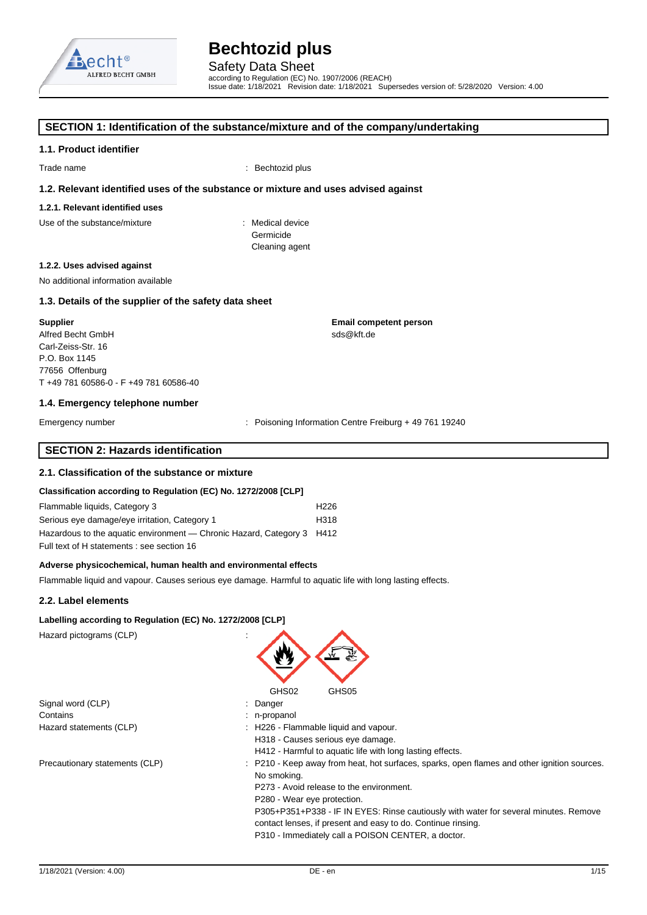

### **SECTION 1: Identification of the substance/mixture and of the company/undertaking**

#### **1.1. Product identifier**

Trade name : Bechtozid plus

#### **1.2. Relevant identified uses of the substance or mixture and uses advised against**

## **1.2.1. Relevant identified uses**

Use of the substance/mixture in the substance in the set of the substance in the set of the substance in the s

Germicide Cleaning agent

#### **1.2.2. Uses advised against**

No additional information available

### **1.3. Details of the supplier of the safety data sheet**

**Supplier**  Alfred Becht GmbH Carl-Zeiss-Str. 16 P.O. Box 1145 77656 Offenburg T +49 781 60586-0 - F +49 781 60586-40

#### **1.4. Emergency telephone number**

Emergency number **Emergency** number : Poisoning Information Centre Freiburg + 49 761 19240

sds@kft.de

**Email competent person** 

## **SECTION 2: Hazards identification**

#### **2.1. Classification of the substance or mixture**

#### **Classification according to Regulation (EC) No. 1272/2008 [CLP]**

| Flammable liquids, Category 3                                          | H <sub>226</sub> |
|------------------------------------------------------------------------|------------------|
| Serious eye damage/eye irritation, Category 1                          | H318             |
| Hazardous to the aquatic environment — Chronic Hazard, Category 3 H412 |                  |
| Full text of H statements : see section 16                             |                  |

#### **Adverse physicochemical, human health and environmental effects**

Flammable liquid and vapour. Causes serious eye damage. Harmful to aquatic life with long lasting effects.

#### **2.2. Label elements**

### **Labelling according to Regulation (EC) No. 1272/2008 [CLP]**

| Hazard pictograms (CLP)        |                                                                                                                                                                                                                                                                                                                                                                                                     |
|--------------------------------|-----------------------------------------------------------------------------------------------------------------------------------------------------------------------------------------------------------------------------------------------------------------------------------------------------------------------------------------------------------------------------------------------------|
|                                | GHS02<br>GHS05                                                                                                                                                                                                                                                                                                                                                                                      |
| Signal word (CLP)              | : Danger                                                                                                                                                                                                                                                                                                                                                                                            |
| Contains                       | : n-propanol                                                                                                                                                                                                                                                                                                                                                                                        |
| Hazard statements (CLP)        | : H226 - Flammable liquid and vapour.<br>H318 - Causes serious eye damage.<br>H412 - Harmful to aquatic life with long lasting effects.                                                                                                                                                                                                                                                             |
| Precautionary statements (CLP) | : P210 - Keep away from heat, hot surfaces, sparks, open flames and other ignition sources.<br>No smoking.<br>P273 - Avoid release to the environment.<br>P280 - Wear eye protection.<br>P305+P351+P338 - IF IN EYES: Rinse cautiously with water for several minutes. Remove<br>contact lenses, if present and easy to do. Continue rinsing.<br>P310 - Immediately call a POISON CENTER, a doctor. |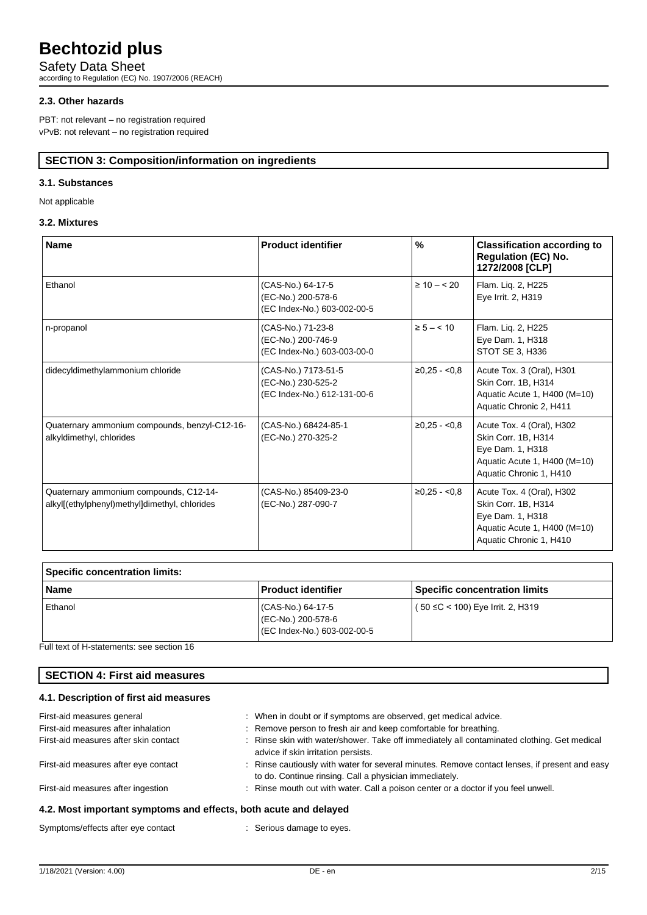Safety Data Sheet according to Regulation (EC) No. 1907/2006 (REACH)

### **2.3. Other hazards**

PBT: not relevant – no registration required vPvB: not relevant – no registration required

## **SECTION 3: Composition/information on ingredients**

### **3.1. Substances**

Not applicable

## **3.2. Mixtures**

| <b>Name</b>                                                                             | <b>Product identifier</b>                                                | $\frac{9}{6}$   | <b>Classification according to</b><br><b>Regulation (EC) No.</b><br>1272/2008 [CLP]                                             |
|-----------------------------------------------------------------------------------------|--------------------------------------------------------------------------|-----------------|---------------------------------------------------------------------------------------------------------------------------------|
| Ethanol                                                                                 | (CAS-No.) 64-17-5<br>(EC-No.) 200-578-6<br>(EC Index-No.) 603-002-00-5   | $\geq 10 - 520$ | Flam. Liq. 2, H225<br>Eye Irrit. 2, H319                                                                                        |
| n-propanol                                                                              | (CAS-No.) 71-23-8<br>(EC-No.) 200-746-9<br>(EC Index-No.) 603-003-00-0   | $\ge 5 - 10$    | Flam. Liq. 2, H225<br>Eye Dam. 1, H318<br>STOT SE 3, H336                                                                       |
| didecyldimethylammonium chloride                                                        | (CAS-No.) 7173-51-5<br>(EC-No.) 230-525-2<br>(EC Index-No.) 612-131-00-6 | $≥0,25 - <0.8$  | Acute Tox. 3 (Oral), H301<br>Skin Corr. 1B, H314<br>Aquatic Acute 1, H400 (M=10)<br>Aquatic Chronic 2, H411                     |
| Quaternary ammonium compounds, benzyl-C12-16-<br>alkyldimethyl, chlorides               | (CAS-No.) 68424-85-1<br>(EC-No.) 270-325-2                               | $≥0.25 - <0.8$  | Acute Tox. 4 (Oral), H302<br>Skin Corr. 1B, H314<br>Eye Dam. 1, H318<br>Aquatic Acute 1, H400 (M=10)<br>Aquatic Chronic 1, H410 |
| Quaternary ammonium compounds, C12-14-<br>alkyl[(ethylphenyl)methyl]dimethyl, chlorides | (CAS-No.) 85409-23-0<br>(EC-No.) 287-090-7                               | $≥0,25 - <0,8$  | Acute Tox. 4 (Oral), H302<br>Skin Corr. 1B, H314<br>Eye Dam. 1, H318<br>Aquatic Acute 1, H400 (M=10)<br>Aquatic Chronic 1, H410 |

| Specific concentration limits: |                                                                      |                                      |  |
|--------------------------------|----------------------------------------------------------------------|--------------------------------------|--|
| <b>Name</b>                    | <b>Product identifier</b>                                            | <b>Specific concentration limits</b> |  |
| Ethanol                        | CAS-No.) 64-17-5<br>(EC-No.) 200-578-6<br>EC Index-No.) 603-002-00-5 | (50 ≤C < 100) Eye Irrit. 2, H319     |  |

Full text of H-statements: see section 16

## **SECTION 4: First aid measures**

### **4.1. Description of first aid measures**

| A 2. Most important symptoms and offects, both acute and delayed |                                                                                                                                                         |
|------------------------------------------------------------------|---------------------------------------------------------------------------------------------------------------------------------------------------------|
| First-aid measures after ingestion                               | : Rinse mouth out with water. Call a poison center or a doctor if you feel unwell.                                                                      |
| First-aid measures after eye contact                             | : Rinse cautiously with water for several minutes. Remove contact lenses, if present and easy<br>to do. Continue rinsing. Call a physician immediately. |
|                                                                  | advice if skin irritation persists.                                                                                                                     |
| First-aid measures after skin contact                            | : Rinse skin with water/shower. Take off immediately all contaminated clothing. Get medical                                                             |
| First-aid measures after inhalation                              | : Remove person to fresh air and keep comfortable for breathing.                                                                                        |
| First-aid measures general                                       | : When in doubt or if symptoms are observed, get medical advice.                                                                                        |

#### **4.2. Most important symptoms and effects, both acute and delayed**

Symptoms/effects after eye contact : Serious damage to eyes.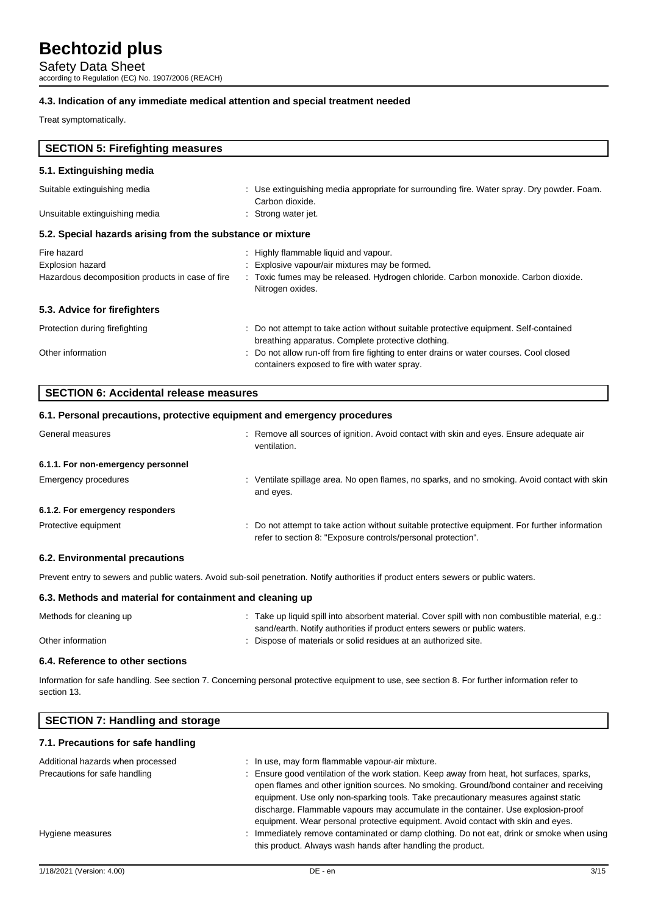Safety Data Sheet according to Regulation (EC) No. 1907/2006 (REACH)

### **4.3. Indication of any immediate medical attention and special treatment needed**

Treat symptomatically.

| <b>SECTION 5: Firefighting measures</b>                    |                                                                                                                                             |  |  |
|------------------------------------------------------------|---------------------------------------------------------------------------------------------------------------------------------------------|--|--|
| 5.1. Extinguishing media                                   |                                                                                                                                             |  |  |
| Suitable extinguishing media                               | : Use extinguishing media appropriate for surrounding fire. Water spray. Dry powder. Foam.<br>Carbon dioxide.                               |  |  |
| Unsuitable extinguishing media                             | : Strong water jet.                                                                                                                         |  |  |
| 5.2. Special hazards arising from the substance or mixture |                                                                                                                                             |  |  |
| Fire hazard                                                | Highly flammable liquid and vapour.                                                                                                         |  |  |
| <b>Explosion hazard</b>                                    | : Explosive vapour/air mixtures may be formed.                                                                                              |  |  |
| Hazardous decomposition products in case of fire           | : Toxic fumes may be released. Hydrogen chloride. Carbon monoxide. Carbon dioxide.<br>Nitrogen oxides.                                      |  |  |
| 5.3. Advice for firefighters                               |                                                                                                                                             |  |  |
| Protection during firefighting                             | : Do not attempt to take action without suitable protective equipment. Self-contained<br>breathing apparatus. Complete protective clothing. |  |  |
| Other information                                          | Do not allow run-off from fire fighting to enter drains or water courses. Cool closed<br>containers exposed to fire with water spray.       |  |  |

| SECTION 6: Accidental release measures                                   |  |
|--------------------------------------------------------------------------|--|
| 6.1. Personal precautions, protective equipment and emergency procedures |  |

| General measures                   | : Remove all sources of ignition. Avoid contact with skin and eyes. Ensure adequate air<br>ventilation.                                                      |
|------------------------------------|--------------------------------------------------------------------------------------------------------------------------------------------------------------|
| 6.1.1. For non-emergency personnel |                                                                                                                                                              |
| Emergency procedures               | Ventilate spillage area. No open flames, no sparks, and no smoking. Avoid contact with skin<br>and eyes.                                                     |
| 6.1.2. For emergency responders    |                                                                                                                                                              |
| Protective equipment               | Do not attempt to take action without suitable protective equipment. For further information<br>refer to section 8: "Exposure controls/personal protection". |

#### **6.2. Environmental precautions**

Prevent entry to sewers and public waters. Avoid sub-soil penetration. Notify authorities if product enters sewers or public waters.

### **6.3. Methods and material for containment and cleaning up**

| Methods for cleaning up | Take up liquid spill into absorbent material. Cover spill with non combustible material, e.g.: |
|-------------------------|------------------------------------------------------------------------------------------------|
|                         | sand/earth. Notify authorities if product enters sewers or public waters.                      |
| Other information       | Dispose of materials or solid residues at an authorized site.                                  |

#### **6.4. Reference to other sections**

Information for safe handling. See section 7. Concerning personal protective equipment to use, see section 8. For further information refer to section 13.

| <b>SECTION 7: Handling and storage</b>                             |                                                                                                                                                                                                                                                                                                                                                                                                                                                                                                         |
|--------------------------------------------------------------------|---------------------------------------------------------------------------------------------------------------------------------------------------------------------------------------------------------------------------------------------------------------------------------------------------------------------------------------------------------------------------------------------------------------------------------------------------------------------------------------------------------|
| 7.1. Precautions for safe handling                                 |                                                                                                                                                                                                                                                                                                                                                                                                                                                                                                         |
| Additional hazards when processed<br>Precautions for safe handling | : In use, may form flammable vapour-air mixture.<br>: Ensure good ventilation of the work station. Keep away from heat, hot surfaces, sparks,<br>open flames and other ignition sources. No smoking. Ground/bond container and receiving<br>equipment. Use only non-sparking tools. Take precautionary measures against static<br>discharge. Flammable vapours may accumulate in the container. Use explosion-proof<br>equipment. Wear personal protective equipment. Avoid contact with skin and eyes. |
| Hygiene measures                                                   | Immediately remove contaminated or damp clothing. Do not eat, drink or smoke when using                                                                                                                                                                                                                                                                                                                                                                                                                 |

this product. Always wash hands after handling the product.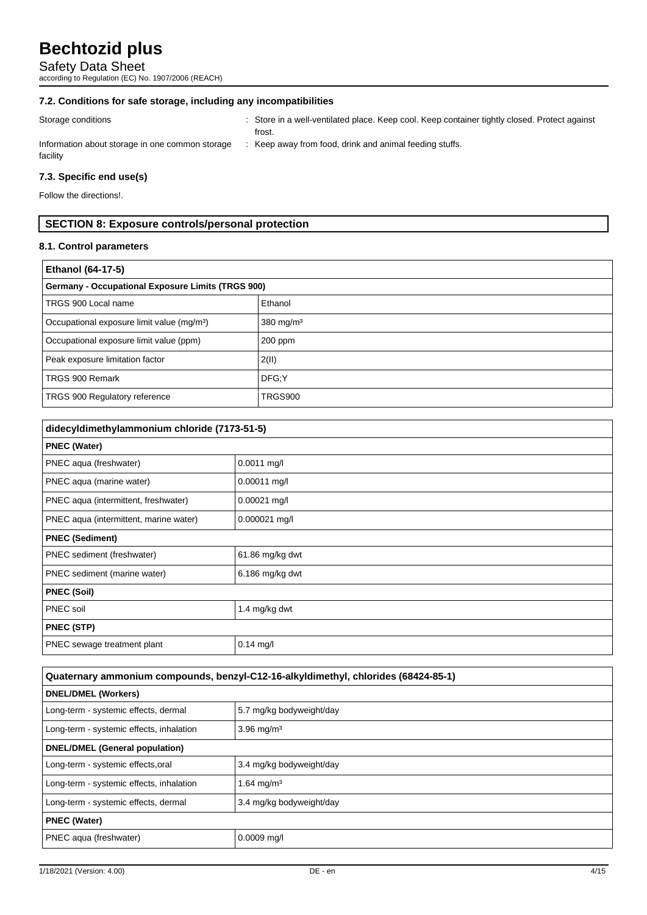Safety Data Sheet

according to Regulation (EC) No. 1907/2006 (REACH)

## **7.2. Conditions for safe storage, including any incompatibilities**

| Storage conditions                                          | Store in a well-ventilated place. Keep cool. Keep container tightly closed. Protect against<br>frost. |
|-------------------------------------------------------------|-------------------------------------------------------------------------------------------------------|
| Information about storage in one common storage<br>facility | Keep away from food, drink and animal feeding stuffs.                                                 |

## **7.3. Specific end use(s)**

Follow the directions!.

## **SECTION 8: Exposure controls/personal protection**

## **8.1. Control parameters**

| <b>Ethanol (64-17-5)</b>                                 |                         |  |  |
|----------------------------------------------------------|-------------------------|--|--|
| <b>Germany - Occupational Exposure Limits (TRGS 900)</b> |                         |  |  |
| TRGS 900 Local name                                      | Ethanol                 |  |  |
| Occupational exposure limit value (mg/m <sup>3</sup> )   | $380$ mg/m <sup>3</sup> |  |  |
| Occupational exposure limit value (ppm)                  | 200 ppm                 |  |  |
| Peak exposure limitation factor                          | 2(11)                   |  |  |
| TRGS 900 Remark                                          | DFG:Y                   |  |  |
| TRGS 900 Regulatory reference                            | <b>TRGS900</b>          |  |  |

| didecyldimethylammonium chloride (7173-51-5) |                   |
|----------------------------------------------|-------------------|
| <b>PNEC (Water)</b>                          |                   |
| PNEC aqua (freshwater)                       | $0.0011$ mg/l     |
| PNEC aqua (marine water)                     | $0.00011$ mg/l    |
| PNEC aqua (intermittent, freshwater)         | $0.00021$ mg/l    |
| PNEC aqua (intermittent, marine water)       | $0.000021$ mg/l   |
| <b>PNEC (Sediment)</b>                       |                   |
| PNEC sediment (freshwater)                   | 61.86 mg/kg dwt   |
| PNEC sediment (marine water)                 | $6.186$ mg/kg dwt |
| <b>PNEC (Soil)</b>                           |                   |
| PNEC soil                                    | 1.4 mg/kg dwt     |
| <b>PNEC (STP)</b>                            |                   |
| PNEC sewage treatment plant                  | $0.14$ mg/l       |

| Quaternary ammonium compounds, benzyl-C12-16-alkyldimethyl, chlorides (68424-85-1) |                          |
|------------------------------------------------------------------------------------|--------------------------|
| <b>DNEL/DMEL (Workers)</b>                                                         |                          |
| Long-term - systemic effects, dermal                                               | 5.7 mg/kg bodyweight/day |
| Long-term - systemic effects, inhalation                                           | $3.96$ mg/m <sup>3</sup> |
| <b>DNEL/DMEL (General population)</b>                                              |                          |
| Long-term - systemic effects, oral                                                 | 3.4 mg/kg bodyweight/day |
| Long-term - systemic effects, inhalation                                           | 1.64 mg/m <sup>3</sup>   |
| Long-term - systemic effects, dermal                                               | 3.4 mg/kg bodyweight/day |
| <b>PNEC (Water)</b>                                                                |                          |
| PNEC aqua (freshwater)                                                             | $0.0009$ mg/l            |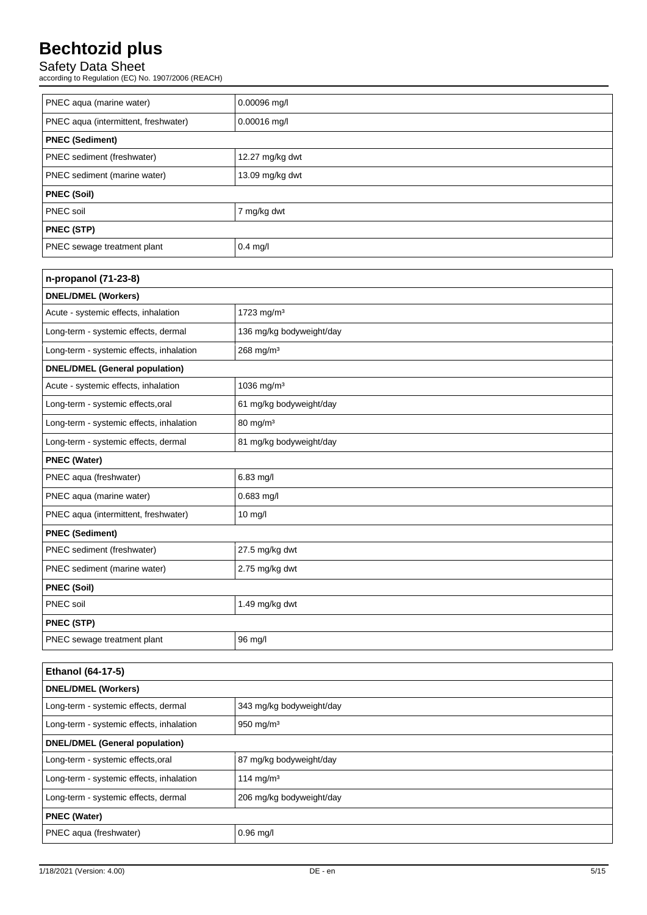## Safety Data Sheet

according to Regulation (EC) No. 1907/2006 (REACH)

| PNEC aqua (marine water)             | 0.00096 mg/l      |
|--------------------------------------|-------------------|
| PNEC aqua (intermittent, freshwater) | $0.00016$ mg/l    |
| <b>PNEC (Sediment)</b>               |                   |
| PNEC sediment (freshwater)           | 12.27 $mg/kg$ dwt |
| PNEC sediment (marine water)         | 13.09 mg/kg dwt   |
| <b>PNEC (Soil)</b>                   |                   |
| PNEC soil                            | 7 mg/kg dwt       |
| <b>PNEC (STP)</b>                    |                   |
| PNEC sewage treatment plant          | $0.4$ mg/l        |

| n-propanol (71-23-8)                     |                          |  |
|------------------------------------------|--------------------------|--|
| <b>DNEL/DMEL (Workers)</b>               |                          |  |
| Acute - systemic effects, inhalation     | 1723 mg/m <sup>3</sup>   |  |
| Long-term - systemic effects, dermal     | 136 mg/kg bodyweight/day |  |
| Long-term - systemic effects, inhalation | 268 mg/m <sup>3</sup>    |  |
| <b>DNEL/DMEL (General population)</b>    |                          |  |
| Acute - systemic effects, inhalation     | 1036 mg/m <sup>3</sup>   |  |
| Long-term - systemic effects, oral       | 61 mg/kg bodyweight/day  |  |
| Long-term - systemic effects, inhalation | 80 mg/m <sup>3</sup>     |  |
| Long-term - systemic effects, dermal     | 81 mg/kg bodyweight/day  |  |
| <b>PNEC (Water)</b>                      |                          |  |
| PNEC aqua (freshwater)                   | 6.83 mg/l                |  |
| PNEC aqua (marine water)                 | $0.683$ mg/l             |  |
| PNEC aqua (intermittent, freshwater)     | $10$ mg/l                |  |
| <b>PNEC (Sediment)</b>                   |                          |  |
| PNEC sediment (freshwater)               | 27.5 mg/kg dwt           |  |
| PNEC sediment (marine water)             | 2.75 mg/kg dwt           |  |
| <b>PNEC (Soil)</b>                       |                          |  |
| PNEC soil                                | 1.49 mg/kg dwt           |  |
| <b>PNEC (STP)</b>                        |                          |  |
| PNEC sewage treatment plant              | 96 mg/l                  |  |

| <b>Ethanol (64-17-5)</b>                 |                          |
|------------------------------------------|--------------------------|
| <b>DNEL/DMEL (Workers)</b>               |                          |
| Long-term - systemic effects, dermal     | 343 mg/kg bodyweight/day |
| Long-term - systemic effects, inhalation | 950 mg/m <sup>3</sup>    |
| <b>DNEL/DMEL (General population)</b>    |                          |
| Long-term - systemic effects, oral       | 87 mg/kg bodyweight/day  |
| Long-term - systemic effects, inhalation | 114 mg/m <sup>3</sup>    |
| Long-term - systemic effects, dermal     | 206 mg/kg bodyweight/day |
| <b>PNEC (Water)</b>                      |                          |
| PNEC aqua (freshwater)                   | $0.96$ mg/l              |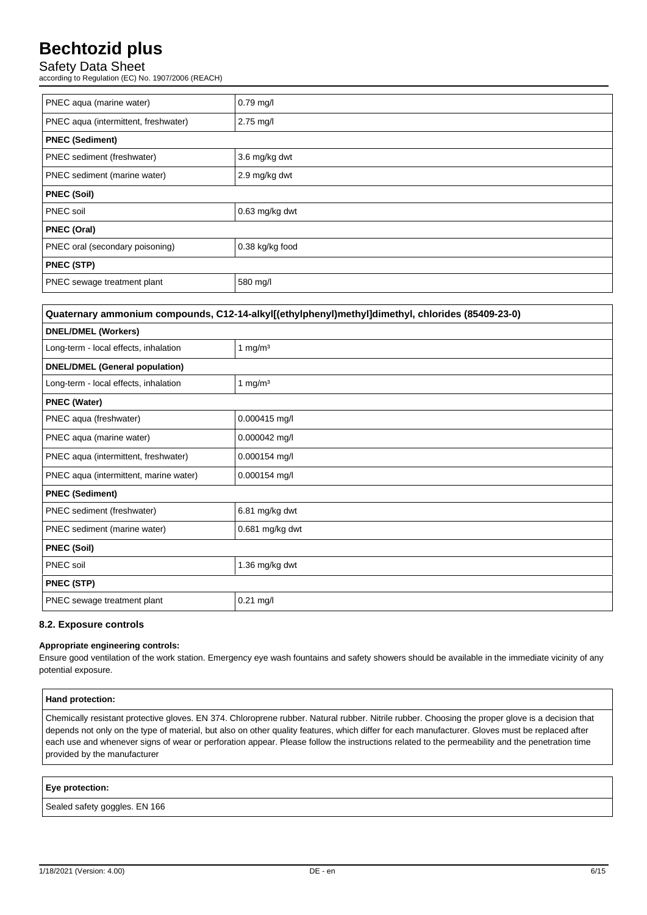## Safety Data Sheet

according to Regulation (EC) No. 1907/2006 (REACH)

| $0.79$ mg/l            |  |
|------------------------|--|
| 2.75 mg/l              |  |
| <b>PNEC (Sediment)</b> |  |
| 3.6 mg/kg dwt          |  |
| 2.9 mg/kg dwt          |  |
| <b>PNEC (Soil)</b>     |  |
| 0.63 mg/kg dwt         |  |
| <b>PNEC (Oral)</b>     |  |
| 0.38 kg/kg food        |  |
| <b>PNEC (STP)</b>      |  |
| 580 mg/l               |  |
|                        |  |

| Quaternary ammonium compounds, C12-14-alkyl[(ethylphenyl)methyl]dimethyl, chlorides (85409-23-0) |                 |
|--------------------------------------------------------------------------------------------------|-----------------|
| <b>DNEL/DMEL (Workers)</b>                                                                       |                 |
| Long-term - local effects, inhalation                                                            | 1 mg/m $3$      |
| <b>DNEL/DMEL (General population)</b>                                                            |                 |
| Long-term - local effects, inhalation                                                            | 1 mg/ $m3$      |
| <b>PNEC (Water)</b>                                                                              |                 |
| PNEC aqua (freshwater)                                                                           | $0.000415$ mg/l |
| PNEC aqua (marine water)                                                                         | $0.000042$ mg/l |
| PNEC aqua (intermittent, freshwater)                                                             | $0.000154$ mg/l |
| PNEC aqua (intermittent, marine water)                                                           | $0.000154$ mg/l |
| <b>PNEC (Sediment)</b>                                                                           |                 |
| PNEC sediment (freshwater)                                                                       | 6.81 mg/kg dwt  |
| PNEC sediment (marine water)                                                                     | 0.681 mg/kg dwt |
| <b>PNEC (Soil)</b>                                                                               |                 |
| PNEC soil                                                                                        | 1.36 mg/kg dwt  |
| <b>PNEC (STP)</b>                                                                                |                 |
| PNEC sewage treatment plant                                                                      | $0.21$ mg/l     |

### **8.2. Exposure controls**

#### **Appropriate engineering controls:**

Ensure good ventilation of the work station. Emergency eye wash fountains and safety showers should be available in the immediate vicinity of any potential exposure.

| Hand protection:                                                                                                                                                                                                                                                                                                                                                                                                                                                                      |
|---------------------------------------------------------------------------------------------------------------------------------------------------------------------------------------------------------------------------------------------------------------------------------------------------------------------------------------------------------------------------------------------------------------------------------------------------------------------------------------|
| Chemically resistant protective gloves. EN 374. Chloroprene rubber. Natural rubber. Nitrile rubber. Choosing the proper glove is a decision that<br>depends not only on the type of material, but also on other quality features, which differ for each manufacturer. Gloves must be replaced after<br>each use and whenever signs of wear or perforation appear. Please follow the instructions related to the permeability and the penetration time<br>provided by the manufacturer |

### **Eye protection:**

Sealed safety goggles. EN 166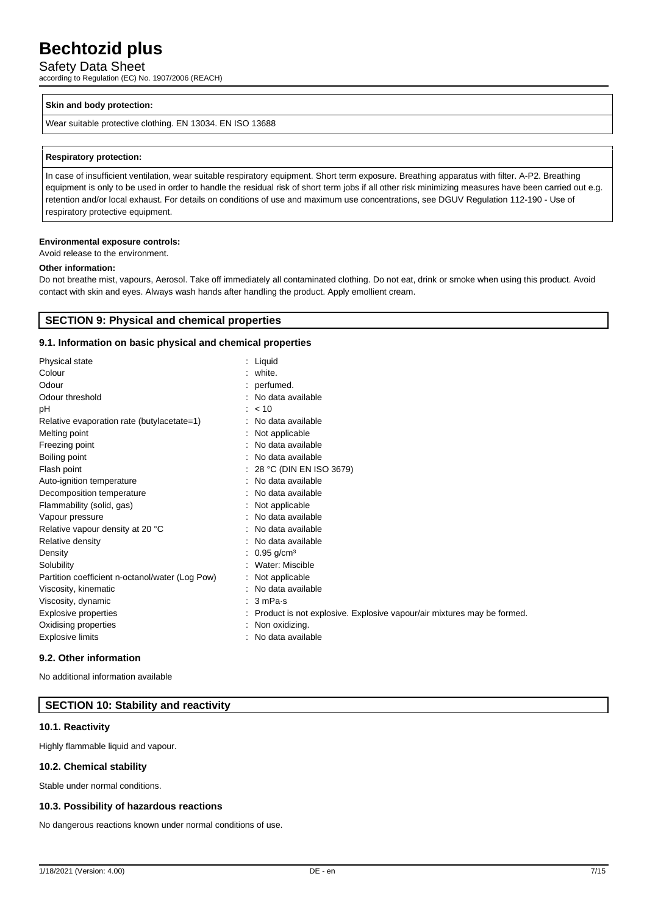Safety Data Sheet

according to Regulation (EC) No. 1907/2006 (REACH)

#### **Skin and body protection:**

Wear suitable protective clothing. EN 13034. EN ISO 13688

#### **Respiratory protection:**

In case of insufficient ventilation, wear suitable respiratory equipment. Short term exposure. Breathing apparatus with filter. A-P2. Breathing equipment is only to be used in order to handle the residual risk of short term jobs if all other risk minimizing measures have been carried out e.g. retention and/or local exhaust. For details on conditions of use and maximum use concentrations, see DGUV Regulation 112-190 - Use of respiratory protective equipment.

#### **Environmental exposure controls:**

Avoid release to the environment.

#### **Other information:**

Do not breathe mist, vapours, Aerosol. Take off immediately all contaminated clothing. Do not eat, drink or smoke when using this product. Avoid contact with skin and eyes. Always wash hands after handling the product. Apply emollient cream.

## **SECTION 9: Physical and chemical properties**

### **9.1. Information on basic physical and chemical properties**

| Physical state                                  | : Liquid                                                               |
|-------------------------------------------------|------------------------------------------------------------------------|
| Colour                                          | $:$ white.                                                             |
| Odour                                           | : perfumed.                                                            |
| Odour threshold                                 | No data available                                                      |
| рH                                              | < 10                                                                   |
| Relative evaporation rate (butylacetate=1)      | No data available                                                      |
| Melting point                                   | Not applicable                                                         |
| Freezing point                                  | No data available                                                      |
| Boiling point                                   | No data available                                                      |
| Flash point                                     | 28 °C (DIN EN ISO 3679)                                                |
| Auto-ignition temperature                       | No data available                                                      |
| Decomposition temperature                       | No data available                                                      |
| Flammability (solid, gas)                       | Not applicable                                                         |
| Vapour pressure                                 | No data available                                                      |
| Relative vapour density at 20 °C                | No data available                                                      |
| Relative density                                | No data available                                                      |
| Density                                         | : 0.95 g/cm <sup>3</sup>                                               |
| Solubility                                      | Water: Miscible                                                        |
| Partition coefficient n-octanol/water (Log Pow) | : Not applicable                                                       |
| Viscosity, kinematic                            | : No data available                                                    |
| Viscosity, dynamic                              | $: 3 \text{ mPa·s}$                                                    |
| <b>Explosive properties</b>                     | Product is not explosive. Explosive vapour/air mixtures may be formed. |
| Oxidising properties                            | : Non oxidizing.                                                       |
| Explosive limits                                | : No data available                                                    |
|                                                 |                                                                        |

#### **9.2. Other information**

No additional information available

## **SECTION 10: Stability and reactivity**

#### **10.1. Reactivity**

Highly flammable liquid and vapour.

### **10.2. Chemical stability**

Stable under normal conditions.

#### **10.3. Possibility of hazardous reactions**

No dangerous reactions known under normal conditions of use.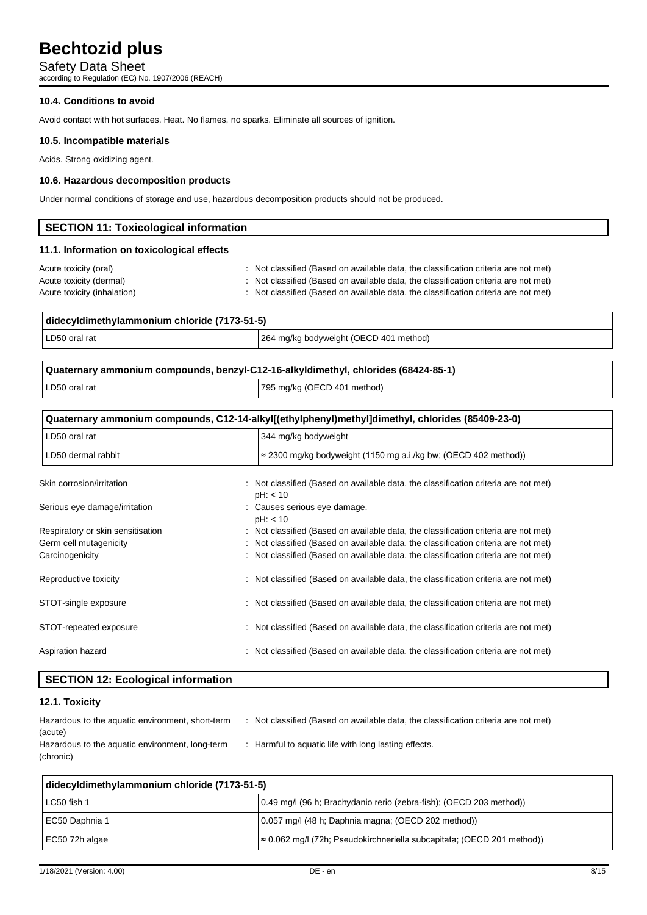Safety Data Sheet

according to Regulation (EC) No. 1907/2006 (REACH)

### **10.4. Conditions to avoid**

Avoid contact with hot surfaces. Heat. No flames, no sparks. Eliminate all sources of ignition.

### **10.5. Incompatible materials**

Acids. Strong oxidizing agent.

### **10.6. Hazardous decomposition products**

Under normal conditions of storage and use, hazardous decomposition products should not be produced.

| SECTION 11: Toxicological information      |                                                                                     |
|--------------------------------------------|-------------------------------------------------------------------------------------|
| 11.1. Information on toxicological effects |                                                                                     |
| Acute toxicity (oral)                      | : Not classified (Based on available data, the classification criteria are not met) |
| Acute toxicity (dermal)                    | : Not classified (Based on available data, the classification criteria are not met) |
| Acute toxicity (inhalation)                | : Not classified (Based on available data, the classification criteria are not met) |

| didecyldimethylammonium chloride (7173-51-5) |                                        |
|----------------------------------------------|----------------------------------------|
| LD50 oral rat                                | 264 mg/kg bodyweight (OECD 401 method) |
|                                              |                                        |

| Quaternary ammonium compounds, benzyl-C12-16-alkyldimethyl, chlorides (68424-85-1) |                             |
|------------------------------------------------------------------------------------|-----------------------------|
| LD50 oral rat                                                                      | 795 mg/kg (OECD 401 method) |

| Quaternary ammonium compounds, C12-14-alkyl[(ethylphenyl)methyl]dimethyl, chlorides (85409-23-0) |                                                                                                 |  |
|--------------------------------------------------------------------------------------------------|-------------------------------------------------------------------------------------------------|--|
| LD50 oral rat                                                                                    | 344 mg/kg bodyweight                                                                            |  |
| LD50 dermal rabbit                                                                               | $\approx$ 2300 mg/kg bodyweight (1150 mg a.i./kg bw; (OECD 402 method))                         |  |
| Skin corrosion/irritation                                                                        | : Not classified (Based on available data, the classification criteria are not met)<br>pH: < 10 |  |
| Serious eye damage/irritation                                                                    | : Causes serious eye damage.<br>pH: < 10                                                        |  |
| Respiratory or skin sensitisation                                                                | : Not classified (Based on available data, the classification criteria are not met)             |  |
| Germ cell mutagenicity                                                                           | Not classified (Based on available data, the classification criteria are not met)               |  |
| Carcinogenicity                                                                                  | : Not classified (Based on available data, the classification criteria are not met)             |  |
| Reproductive toxicity                                                                            | : Not classified (Based on available data, the classification criteria are not met)             |  |
| STOT-single exposure                                                                             | : Not classified (Based on available data, the classification criteria are not met)             |  |
| STOT-repeated exposure                                                                           | : Not classified (Based on available data, the classification criteria are not met)             |  |
| Aspiration hazard                                                                                | Not classified (Based on available data, the classification criteria are not met)               |  |

## **SECTION 12: Ecological information**

## **12.1. Toxicity**

| Hazardous to the aquatic environment, short-term | Not classified (Based on available data, the classification criteria are not met) |
|--------------------------------------------------|-----------------------------------------------------------------------------------|
| (acute)                                          |                                                                                   |
| Hazardous to the aquatic environment, long-term  | : Harmful to aquatic life with long lasting effects.                              |
| (chronic)                                        |                                                                                   |

| didecyldimethylammonium chloride (7173-51-5) |                                                                                |  |
|----------------------------------------------|--------------------------------------------------------------------------------|--|
| LC50 fish 1                                  | 0.49 mg/l (96 h; Brachydanio rerio (zebra-fish); (OECD 203 method))            |  |
| EC50 Daphnia 1                               | 0.057 mg/l (48 h; Daphnia magna; (OECD 202 method))                            |  |
| l EC50 72h algae                             | $\approx$ 0.062 mg/l (72h; Pseudokirchneriella subcapitata; (OECD 201 method)) |  |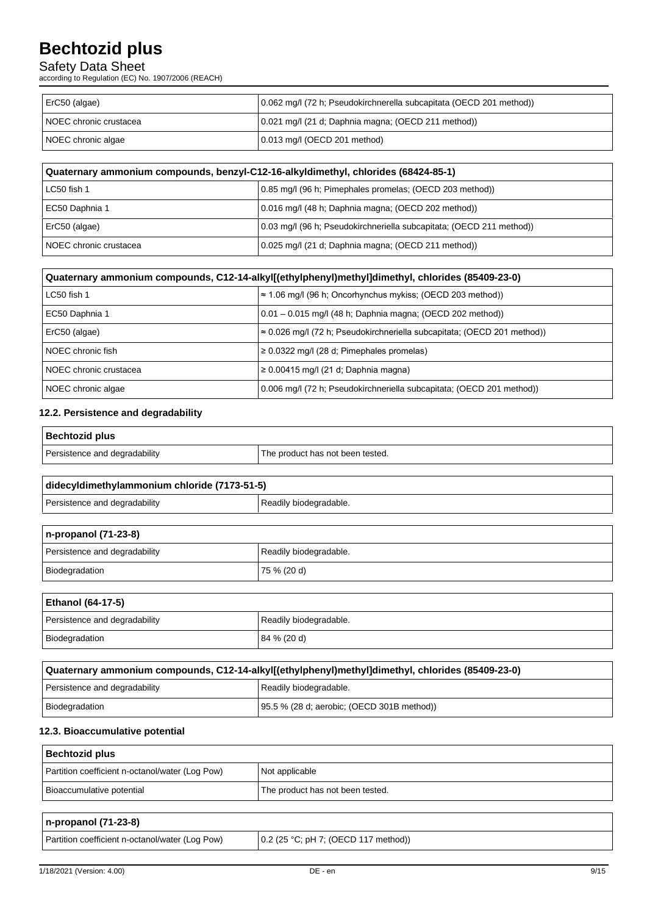## Safety Data Sheet

according to Regulation (EC) No. 1907/2006 (REACH)

| ErC50 (algae)          | 0.062 mg/l (72 h; Pseudokirchnerella subcapitata (OECD 201 method)) |
|------------------------|---------------------------------------------------------------------|
| NOEC chronic crustacea | 0.021 mg/l (21 d; Daphnia magna; (OECD 211 method))                 |
| NOEC chronic algae     | 0.013 mg/l (OECD 201 method)                                        |

| Quaternary ammonium compounds, benzyl-C12-16-alkyldimethyl, chlorides (68424-85-1) |                                                                      |  |
|------------------------------------------------------------------------------------|----------------------------------------------------------------------|--|
| LC50 fish 1                                                                        | 0.85 mg/l (96 h; Pimephales promelas; (OECD 203 method))             |  |
| EC50 Daphnia 1                                                                     | 0.016 mg/l (48 h; Daphnia magna; (OECD 202 method))                  |  |
| ErC50 (algae)                                                                      | 0.03 mg/l (96 h; Pseudokirchneriella subcapitata; (OECD 211 method)) |  |
| l NOEC chronic crustacea                                                           | 0.025 mg/l (21 d; Daphnia magna; (OECD 211 method))                  |  |

| Quaternary ammonium compounds, C12-14-alkyl[(ethylphenyl)methyl]dimethyl, chlorides (85409-23-0) |                                                                                 |  |
|--------------------------------------------------------------------------------------------------|---------------------------------------------------------------------------------|--|
| LC50 fish 1                                                                                      | $\approx$ 1.06 mg/l (96 h; Oncorhynchus mykiss; (OECD 203 method))              |  |
| EC50 Daphnia 1                                                                                   | $0.01 - 0.015$ mg/l (48 h; Daphnia magna; (OECD 202 method))                    |  |
| ErC50 (algae)                                                                                    | $\approx$ 0.026 mg/l (72 h; Pseudokirchneriella subcapitata; (OECD 201 method)) |  |
| NOEC chronic fish                                                                                | $\geq$ 0.0322 mg/l (28 d; Pimephales promelas)                                  |  |
| NOEC chronic crustacea                                                                           | $\geq 0.00415$ mg/l (21 d; Daphnia magna)                                       |  |
| NOEC chronic algae                                                                               | 0.006 mg/l (72 h; Pseudokirchneriella subcapitata; (OECD 201 method))           |  |

## **12.2. Persistence and degradability**

| <b>Bechtozid plus</b>         |                                  |
|-------------------------------|----------------------------------|
| Persistence and degradability | The product has not been tested. |

| didecyldimethylammonium chloride (7173-51-5) |  |  |
|----------------------------------------------|--|--|
| Readily biodegradable.                       |  |  |
|                                              |  |  |

| $n$ -propanol (71-23-8)       |                        |  |
|-------------------------------|------------------------|--|
| Persistence and degradability | Readily biodegradable. |  |
| Biodegradation                | 75% (20d)              |  |

## **Ethanol (64-17-5)**

.

| Persistence and degradability | Readily biodegradable. |
|-------------------------------|------------------------|
| Biodegradation                | 84 % (20 d)            |

| Quaternary ammonium compounds, C12-14-alkyl[(ethylphenyl)methyl]dimethyl, chlorides (85409-23-0) |                                             |  |
|--------------------------------------------------------------------------------------------------|---------------------------------------------|--|
| Persistence and degradability                                                                    | Readily biodegradable.                      |  |
| Biodegradation                                                                                   | [95.5 % (28 d; aerobic; (OECD 301B method)) |  |

## **12.3. Bioaccumulative potential**

| Bechtozid plus                                  |                                  |  |
|-------------------------------------------------|----------------------------------|--|
| Partition coefficient n-octanol/water (Log Pow) | Not applicable                   |  |
| Bioaccumulative potential                       | The product has not been tested. |  |

| $n$ -propanol (71-23-8)                         |                                      |
|-------------------------------------------------|--------------------------------------|
| Partition coefficient n-octanol/water (Log Pow) | 0.2 (25 °C; pH 7; (OECD 117 method)) |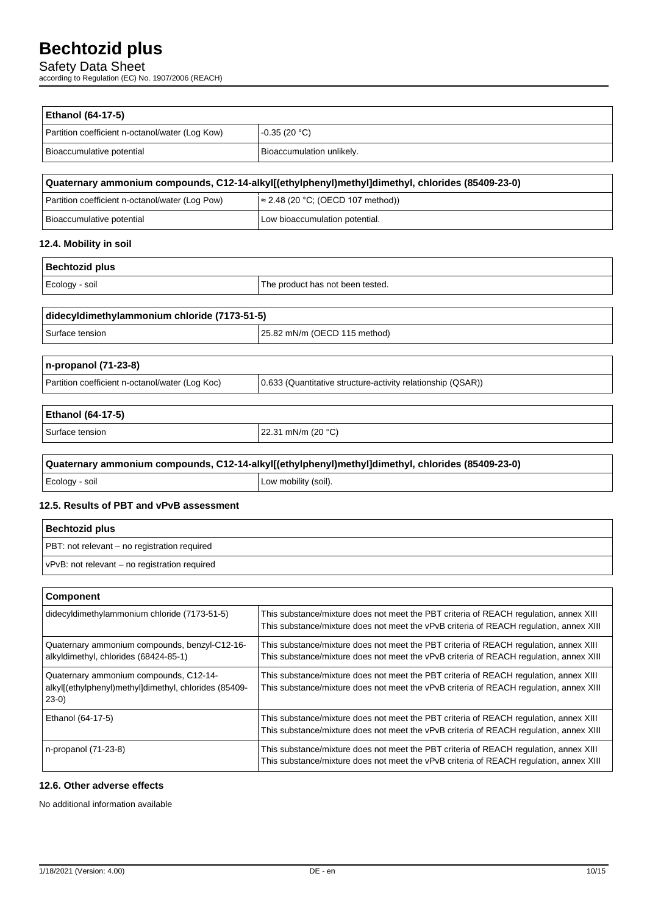Safety Data Sheet

according to Regulation (EC) No. 1907/2006 (REACH)

| Ethanol (64-17-5)                                                                                          |                                                                                                                                                                                 |
|------------------------------------------------------------------------------------------------------------|---------------------------------------------------------------------------------------------------------------------------------------------------------------------------------|
| Partition coefficient n-octanol/water (Log Kow)                                                            | $-0.35(20 °C)$                                                                                                                                                                  |
| Bioaccumulative potential                                                                                  | Bioaccumulation unlikely.                                                                                                                                                       |
|                                                                                                            | Quaternary ammonium compounds, C12-14-alkyl[(ethylphenyl)methyl]dimethyl, chlorides (85409-23-0)                                                                                |
| Partition coefficient n-octanol/water (Log Pow)                                                            | $\approx$ 2.48 (20 °C; (OECD 107 method))                                                                                                                                       |
| Bioaccumulative potential                                                                                  | Low bioaccumulation potential.                                                                                                                                                  |
| 12.4. Mobility in soil                                                                                     |                                                                                                                                                                                 |
| <b>Bechtozid plus</b>                                                                                      |                                                                                                                                                                                 |
| Ecology - soil                                                                                             | The product has not been tested.                                                                                                                                                |
| didecyldimethylammonium chloride (7173-51-5)                                                               |                                                                                                                                                                                 |
| Surface tension                                                                                            | 25.82 mN/m (OECD 115 method)                                                                                                                                                    |
| n-propanol (71-23-8)                                                                                       |                                                                                                                                                                                 |
| Partition coefficient n-octanol/water (Log Koc)                                                            | 0.633 (Quantitative structure-activity relationship (QSAR))                                                                                                                     |
| Ethanol (64-17-5)                                                                                          |                                                                                                                                                                                 |
| Surface tension                                                                                            | 22.31 mN/m (20 °C)                                                                                                                                                              |
|                                                                                                            | Quaternary ammonium compounds, C12-14-alkyl[(ethylphenyl)methyl]dimethyl, chlorides (85409-23-0)                                                                                |
| Ecology - soil                                                                                             | Low mobility (soil).                                                                                                                                                            |
| 12.5. Results of PBT and vPvB assessment                                                                   |                                                                                                                                                                                 |
| <b>Bechtozid plus</b>                                                                                      |                                                                                                                                                                                 |
| PBT: not relevant - no registration required                                                               |                                                                                                                                                                                 |
| vPvB: not relevant - no registration required                                                              |                                                                                                                                                                                 |
| Component                                                                                                  |                                                                                                                                                                                 |
| didecyldimethylammonium chloride (7173-51-5)                                                               | This substance/mixture does not meet the PBT criteria of REACH regulation, annex XIII<br>This substance/mixture does not meet the vPvB criteria of REACH regulation, annex XIII |
| Quaternary ammonium compounds, benzyl-C12-16-<br>alkyldimethyl, chlorides (68424-85-1)                     | This substance/mixture does not meet the PBT criteria of REACH regulation, annex XIII<br>This substance/mixture does not meet the vPvB criteria of REACH regulation, annex XIII |
| Quaternary ammonium compounds, C12-14-<br>alkyl[(ethylphenyl)methyl]dimethyl, chlorides (85409-<br>$23-0)$ | This substance/mixture does not meet the PBT criteria of REACH regulation, annex XIII<br>This substance/mixture does not meet the vPvB criteria of REACH regulation, annex XIII |
| Ethanol (64-17-5)                                                                                          | This substance/mixture does not meet the PBT criteria of REACH regulation, annex XIII<br>This substance/mixture does not meet the vPvB criteria of REACH regulation, annex XIII |
| n-propanol (71-23-8)                                                                                       | This substance/mixture does not meet the PBT criteria of REACH regulation, annex XIII                                                                                           |

## **12.6. Other adverse effects**

No additional information available

This substance/mixture does not meet the vPvB criteria of REACH regulation, annex XIII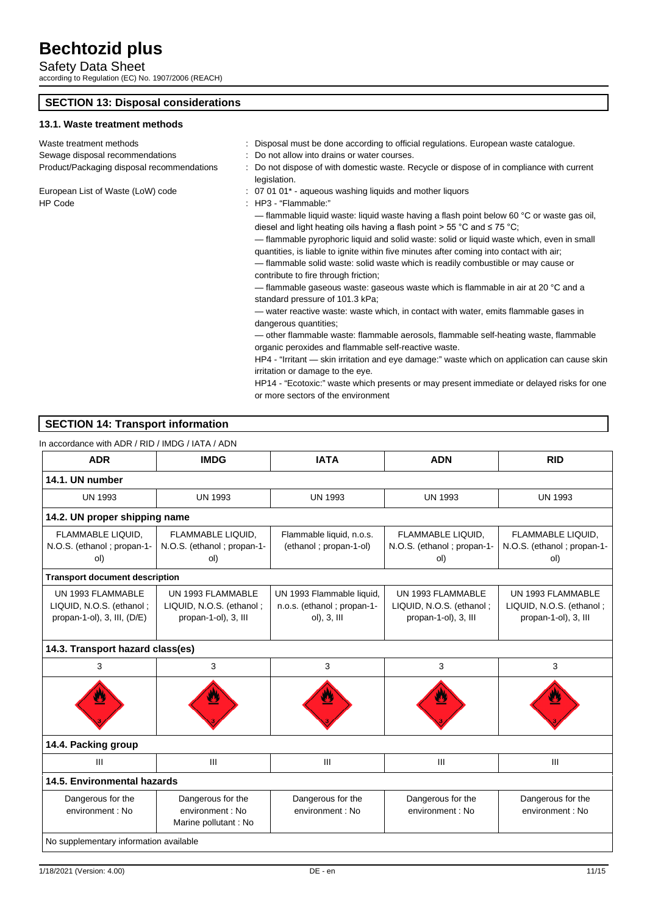Safety Data Sheet according to Regulation (EC) No. 1907/2006 (REACH)

# **SECTION 13: Disposal considerations**

## **13.1. Waste treatment methods**

| Waste treatment methods                   |
|-------------------------------------------|
| Sewage disposal recommendations           |
| Product/Packaging disposal recommendation |

HP Code : HP3 - "Flammable:"

- : Disposal must be done according to official regulations. European waste catalogue. : Do not allow into drains or water courses.
- packaging the Do not dispose of with domestic waste. Recycle or dispose of in compliance with current legislation.
- European List of Waste (LoW) code : 07 01 01\* aqueous washing liquids and mother liquors
	- - flammable liquid waste: liquid waste having a flash point below 60 °C or waste gas oil, diesel and light heating oils having a flash point > 55 °C and ≤ 75 °C;
		- flammable pyrophoric liquid and solid waste: solid or liquid waste which, even in small quantities, is liable to ignite within five minutes after coming into contact with air;
		- flammable solid waste: solid waste which is readily combustible or may cause or contribute to fire through friction;
		- flammable gaseous waste: gaseous waste which is flammable in air at 20 °C and a standard pressure of 101.3 kPa;
		- water reactive waste: waste which, in contact with water, emits flammable gases in dangerous quantities;
		- other flammable waste: flammable aerosols, flammable self-heating waste, flammable organic peroxides and flammable self-reactive waste.
		- HP4 "Irritant skin irritation and eye damage:" waste which on application can cause skin irritation or damage to the eye.
		- HP14 "Ecotoxic:" waste which presents or may present immediate or delayed risks for one or more sectors of the environment

## **SECTION 14: Transport information**

### In accordance with ADR / RID / IMDG / IATA / ADN

| <b>ADR</b>                                                                     | <b>IMDG</b>                                                           | <b>IATA</b>                                                                 | <b>ADN</b>                                                            | <b>RID</b>                                                            |
|--------------------------------------------------------------------------------|-----------------------------------------------------------------------|-----------------------------------------------------------------------------|-----------------------------------------------------------------------|-----------------------------------------------------------------------|
| 14.1. UN number                                                                |                                                                       |                                                                             |                                                                       |                                                                       |
| <b>UN 1993</b>                                                                 | <b>UN 1993</b>                                                        | <b>UN 1993</b>                                                              | <b>UN 1993</b>                                                        | <b>UN 1993</b>                                                        |
| 14.2. UN proper shipping name                                                  |                                                                       |                                                                             |                                                                       |                                                                       |
| FLAMMABLE LIQUID,<br>N.O.S. (ethanol; propan-1-<br>ol)                         | FLAMMABLE LIQUID,<br>N.O.S. (ethanol; propan-1-<br>ol)                | Flammable liquid, n.o.s.<br>(ethanol; propan-1-ol)                          | FLAMMABLE LIQUID,<br>N.O.S. (ethanol; propan-1-<br>ol)                | FLAMMABLE LIQUID,<br>N.O.S. (ethanol; propan-1-<br>ol)                |
| <b>Transport document description</b>                                          |                                                                       |                                                                             |                                                                       |                                                                       |
| UN 1993 FLAMMABLE<br>LIQUID, N.O.S. (ethanol;<br>propan-1-ol), 3, III, $(D/E)$ | UN 1993 FLAMMABLE<br>LIQUID, N.O.S. (ethanol;<br>propan-1-ol), 3, III | UN 1993 Flammable liquid,<br>n.o.s. (ethanol; propan-1-<br>$ol$ ), 3, $III$ | UN 1993 FLAMMABLE<br>LIQUID, N.O.S. (ethanol;<br>propan-1-ol), 3, III | UN 1993 FLAMMABLE<br>LIQUID, N.O.S. (ethanol;<br>propan-1-ol), 3, III |
| 14.3. Transport hazard class(es)                                               |                                                                       |                                                                             |                                                                       |                                                                       |
| 3                                                                              | 3                                                                     | 3                                                                           | 3                                                                     | 3                                                                     |
|                                                                                |                                                                       |                                                                             |                                                                       |                                                                       |
| 14.4. Packing group                                                            |                                                                       |                                                                             |                                                                       |                                                                       |
| Ш                                                                              | III                                                                   | Ш                                                                           | $\mathbf{III}$                                                        | III                                                                   |
| 14.5. Environmental hazards                                                    |                                                                       |                                                                             |                                                                       |                                                                       |
| Dangerous for the<br>environment : No                                          | Dangerous for the<br>environment: No<br>Marine pollutant: No          | Dangerous for the<br>environment : No                                       | Dangerous for the<br>environment : No                                 | Dangerous for the<br>environment : No                                 |
| No supplementary information available                                         |                                                                       |                                                                             |                                                                       |                                                                       |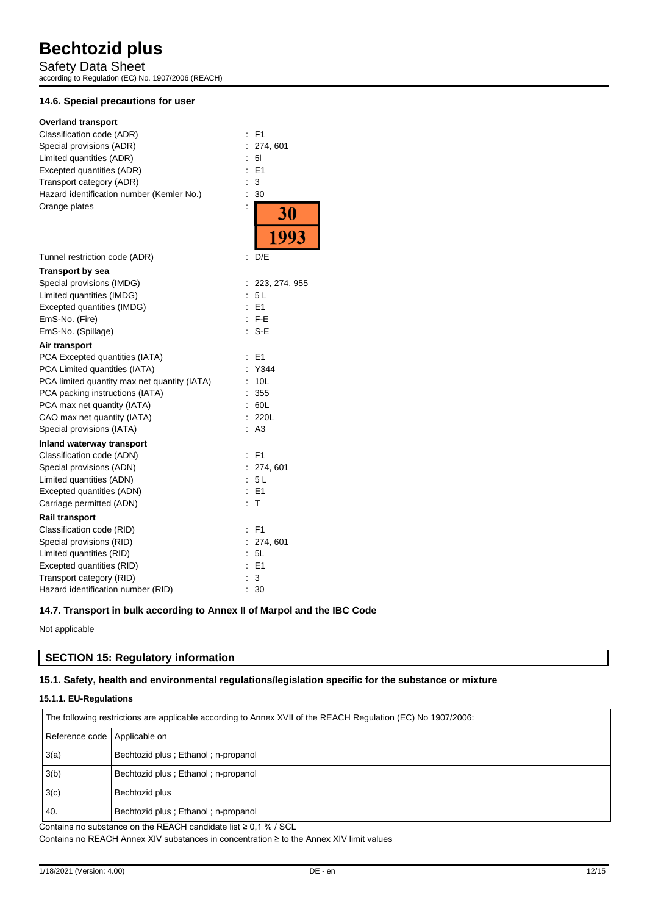Safety Data Sheet according to Regulation (EC) No. 1907/2006 (REACH)

## **14.6. Special precautions for user**

| <b>Overland transport</b>                    |                                           |
|----------------------------------------------|-------------------------------------------|
| Classification code (ADR)                    | F <sub>1</sub><br>$\ddot{\cdot}$          |
| Special provisions (ADR)                     | 274, 601<br>$\ddot{\phantom{a}}$          |
| Limited quantities (ADR)                     | 5I                                        |
| Excepted quantities (ADR)                    | E1                                        |
| Transport category (ADR)                     | 3<br>$\vdots$                             |
| Hazard identification number (Kemler No.)    | 30<br>İ                                   |
| Orange plates                                | $\ddot{\phantom{a}}$<br>$\frac{30}{1993}$ |
|                                              |                                           |
| Tunnel restriction code (ADR)                | D/E<br>t                                  |
| Transport by sea                             |                                           |
| Special provisions (IMDG)                    | 223, 274, 955<br>$\ddot{\phantom{a}}$     |
| Limited quantities (IMDG)                    | 5L<br>÷.                                  |
| Excepted quantities (IMDG)                   | E1                                        |
| EmS-No. (Fire)                               | $:$ F-E                                   |
| EmS-No. (Spillage)                           | S-E                                       |
| Air transport                                |                                           |
| PCA Excepted quantities (IATA)               | E <sub>1</sub><br>$\ddot{\phantom{a}}$    |
| PCA Limited quantities (IATA)                | Y344<br>÷                                 |
| PCA limited quantity max net quantity (IATA) | 10L                                       |
| PCA packing instructions (IATA)              | 355                                       |
| PCA max net quantity (IATA)                  | 60L                                       |
| CAO max net quantity (IATA)                  | 220L                                      |
| Special provisions (IATA)                    | A <sub>3</sub>                            |
| Inland waterway transport                    |                                           |
| Classification code (ADN)                    | F <sub>1</sub>                            |
| Special provisions (ADN)                     | 274, 601<br>÷                             |
| Limited quantities (ADN)                     | 5L                                        |
| Excepted quantities (ADN)                    | E1                                        |
| Carriage permitted (ADN)                     | т                                         |
| <b>Rail transport</b>                        |                                           |
| Classification code (RID)                    | F <sub>1</sub><br>$\ddot{\phantom{a}}$    |
| Special provisions (RID)                     | 274, 601                                  |
| Limited quantities (RID)                     | 5L                                        |
| Excepted quantities (RID)                    | E <sub>1</sub><br>$\ddot{\cdot}$          |
| Transport category (RID)                     | $\vdots$<br>3                             |
| Hazard identification number (RID)           | 30<br>Ì                                   |

## **14.7. Transport in bulk according to Annex II of Marpol and the IBC Code**

Not applicable

## **SECTION 15: Regulatory information**

## **15.1. Safety, health and environmental regulations/legislation specific for the substance or mixture**

#### **15.1.1. EU-Regulations**

| The following restrictions are applicable according to Annex XVII of the REACH Regulation (EC) No 1907/2006: |                                       |  |
|--------------------------------------------------------------------------------------------------------------|---------------------------------------|--|
| Reference code   Applicable on                                                                               |                                       |  |
| 3(a)                                                                                                         | Bechtozid plus : Ethanol : n-propanol |  |
| 3(b)                                                                                                         | Bechtozid plus ; Ethanol ; n-propanol |  |
| 3(c)                                                                                                         | Bechtozid plus                        |  |
| 40.                                                                                                          | Bechtozid plus ; Ethanol ; n-propanol |  |

Contains no substance on the REACH candidate list ≥ 0,1 % / SCL Contains no REACH Annex XIV substances in concentration ≥ to the Annex XIV limit values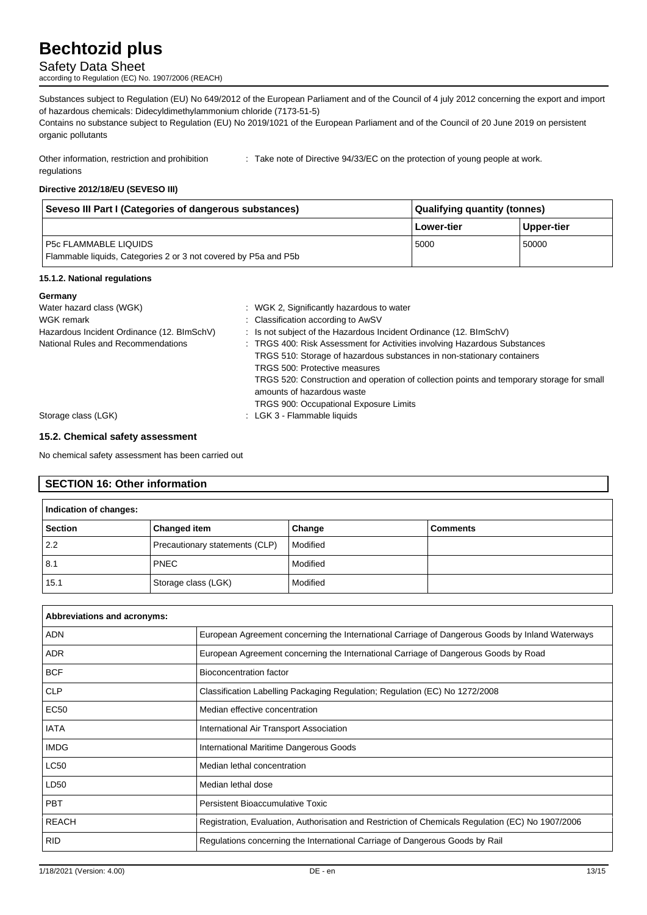## Safety Data Sheet

according to Regulation (EC) No. 1907/2006 (REACH)

Substances subject to Regulation (EU) No 649/2012 of the European Parliament and of the Council of 4 july 2012 concerning the export and import of hazardous chemicals: Didecyldimethylammonium chloride (7173-51-5)

Contains no substance subject to Regulation (EU) No 2019/1021 of the European Parliament and of the Council of 20 June 2019 on persistent organic pollutants

Other information, restriction and prohibition regulations : Take note of Directive 94/33/EC on the protection of young people at work.

#### **Directive 2012/18/EU (SEVESO III)**

| Seveso III Part I (Categories of dangerous substances)                                          | Qualifying quantity (tonnes) |            |
|-------------------------------------------------------------------------------------------------|------------------------------|------------|
|                                                                                                 | Lower-tier                   | Upper-tier |
| <b>P5c FLAMMABLE LIQUIDS</b><br>Flammable liquids, Categories 2 or 3 not covered by P5a and P5b | 5000                         | 50000      |

#### **15.1.2. National regulations**

| Germany                                    |                                                                                           |
|--------------------------------------------|-------------------------------------------------------------------------------------------|
| Water hazard class (WGK)                   | : WGK 2, Significantly hazardous to water                                                 |
| WGK remark                                 | : Classification according to AwSV                                                        |
| Hazardous Incident Ordinance (12. BImSchV) | : Is not subject of the Hazardous Incident Ordinance (12. BImSchV)                        |
| National Rules and Recommendations         | : TRGS 400: Risk Assessment for Activities involving Hazardous Substances                 |
|                                            | TRGS 510: Storage of hazardous substances in non-stationary containers                    |
|                                            | TRGS 500: Protective measures                                                             |
|                                            | TRGS 520: Construction and operation of collection points and temporary storage for small |
|                                            | amounts of hazardous waste                                                                |
|                                            | <b>TRGS 900: Occupational Exposure Limits</b>                                             |
| Storage class (LGK)                        | : LGK 3 - Flammable liquids                                                               |

#### **15.2. Chemical safety assessment**

No chemical safety assessment has been carried out

## **SECTION 16: Other information**

| Indication of changes: |                                |          |                 |
|------------------------|--------------------------------|----------|-----------------|
| <b>Section</b>         | <b>Changed item</b>            | Change   | <b>Comments</b> |
| 2.2                    | Precautionary statements (CLP) | Modified |                 |
| 8.1                    | <b>PNEC</b>                    | Modified |                 |
| 15.1                   | Storage class (LGK)            | Modified |                 |

| Abbreviations and acronyms: |                                                                                                   |
|-----------------------------|---------------------------------------------------------------------------------------------------|
| <b>ADN</b>                  | European Agreement concerning the International Carriage of Dangerous Goods by Inland Waterways   |
| <b>ADR</b>                  | European Agreement concerning the International Carriage of Dangerous Goods by Road               |
| <b>BCF</b>                  | Bioconcentration factor                                                                           |
| <b>CLP</b>                  | Classification Labelling Packaging Regulation; Regulation (EC) No 1272/2008                       |
| <b>EC50</b>                 | Median effective concentration                                                                    |
| <b>IATA</b>                 | International Air Transport Association                                                           |
| <b>IMDG</b>                 | International Maritime Dangerous Goods                                                            |
| <b>LC50</b>                 | Median lethal concentration                                                                       |
| LD50                        | Median lethal dose                                                                                |
| <b>PBT</b>                  | Persistent Bioaccumulative Toxic                                                                  |
| <b>REACH</b>                | Registration, Evaluation, Authorisation and Restriction of Chemicals Regulation (EC) No 1907/2006 |
| <b>RID</b>                  | Regulations concerning the International Carriage of Dangerous Goods by Rail                      |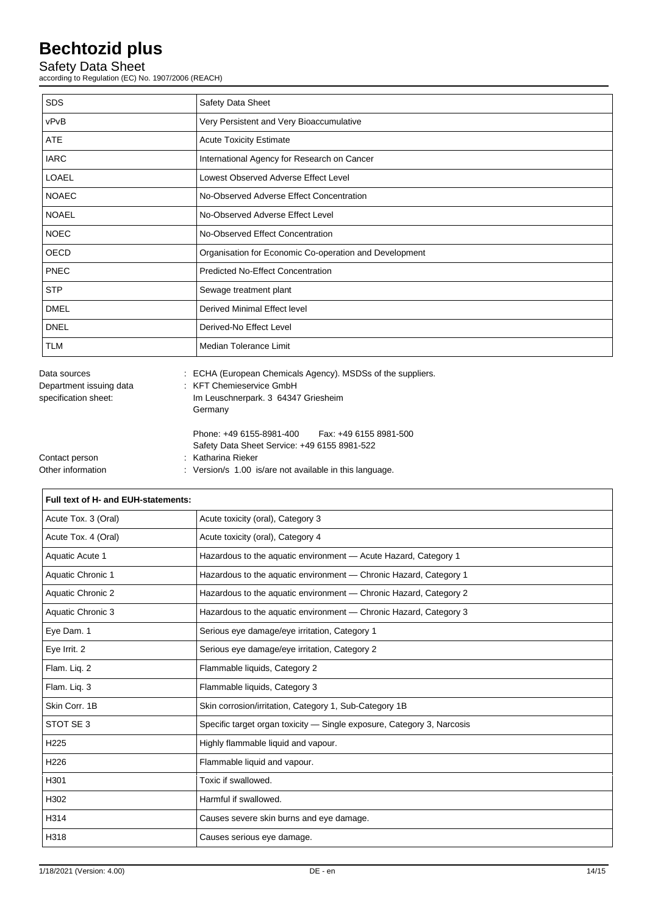## Safety Data Sheet

according to Regulation (EC) No. 1907/2006 (REACH)

| <b>SDS</b>   | Safety Data Sheet                                      |
|--------------|--------------------------------------------------------|
| vPvB         | Very Persistent and Very Bioaccumulative               |
| ATE          | <b>Acute Toxicity Estimate</b>                         |
| <b>IARC</b>  | International Agency for Research on Cancer            |
| <b>LOAEL</b> | Lowest Observed Adverse Effect Level                   |
| <b>NOAEC</b> | No-Observed Adverse Effect Concentration               |
| <b>NOAEL</b> | No-Observed Adverse Effect Level                       |
| <b>NOEC</b>  | No-Observed Effect Concentration                       |
| OECD         | Organisation for Economic Co-operation and Development |
| <b>PNEC</b>  | Predicted No-Effect Concentration                      |
| <b>STP</b>   | Sewage treatment plant                                 |
| <b>DMEL</b>  | Derived Minimal Effect level                           |
| <b>DNEL</b>  | Derived-No Effect Level                                |
| <b>TLM</b>   | Median Tolerance Limit                                 |

| Data sources            | . ECHA (European Chemicals Agency). MSDSS of the suppli- |
|-------------------------|----------------------------------------------------------|
| Department issuing data | : KFT Chemieservice GmbH                                 |
| specification sheet:    | Im Leuschnerpark. 3 64347 Griesheim                      |
|                         | Germany                                                  |
|                         | Fax: +49 6155 8981-500<br>Phone: +49 6155-8981-400       |
|                         | Safety Data Sheet Service: +49 6155 8981-522             |
| Contact person          | : Katharina Rieker                                       |
| Other information       | : Version/s 1.00 is/are not available in this language.  |
|                         |                                                          |

| Full text of H- and EUH-statements: |                                                                        |  |  |
|-------------------------------------|------------------------------------------------------------------------|--|--|
| Acute Tox. 3 (Oral)                 | Acute toxicity (oral), Category 3                                      |  |  |
| Acute Tox. 4 (Oral)                 | Acute toxicity (oral), Category 4                                      |  |  |
| Aquatic Acute 1                     | Hazardous to the aquatic environment - Acute Hazard, Category 1        |  |  |
| Aquatic Chronic 1                   | Hazardous to the aquatic environment - Chronic Hazard, Category 1      |  |  |
| Aquatic Chronic 2                   | Hazardous to the aquatic environment - Chronic Hazard, Category 2      |  |  |
| Aquatic Chronic 3                   | Hazardous to the aquatic environment - Chronic Hazard, Category 3      |  |  |
| Eye Dam. 1                          | Serious eye damage/eye irritation, Category 1                          |  |  |
| Eye Irrit. 2                        | Serious eye damage/eye irritation, Category 2                          |  |  |
| Flam. Liq. 2                        | Flammable liquids, Category 2                                          |  |  |
| Flam. Liq. 3                        | Flammable liquids, Category 3                                          |  |  |
| Skin Corr. 1B                       | Skin corrosion/irritation, Category 1, Sub-Category 1B                 |  |  |
| STOT SE 3                           | Specific target organ toxicity - Single exposure, Category 3, Narcosis |  |  |
| H <sub>225</sub>                    | Highly flammable liquid and vapour.                                    |  |  |
| H <sub>226</sub>                    | Flammable liquid and vapour.                                           |  |  |
| H301                                | Toxic if swallowed.                                                    |  |  |
| H302                                | Harmful if swallowed.                                                  |  |  |
| H314                                | Causes severe skin burns and eye damage.                               |  |  |
| H318                                | Causes serious eye damage.                                             |  |  |